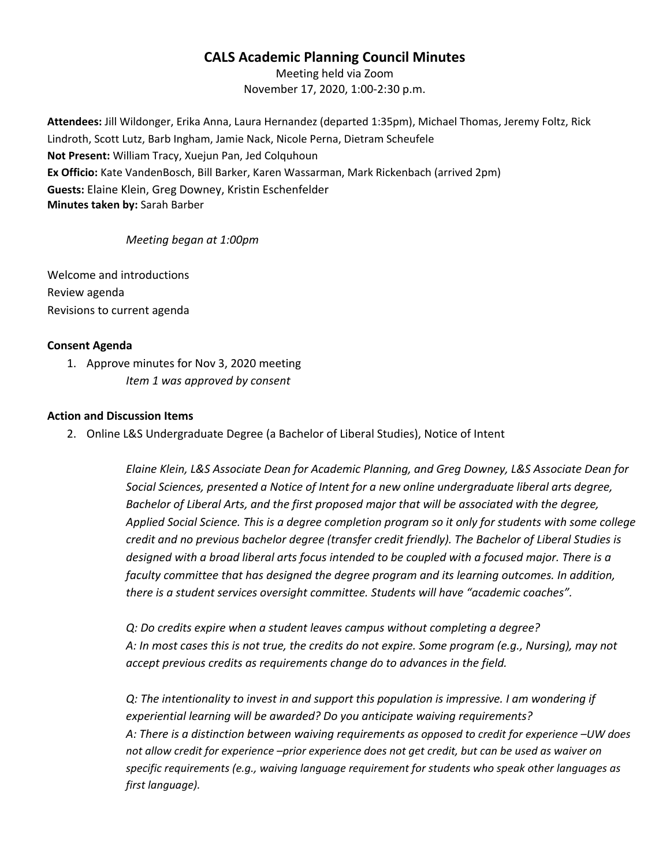# **CALS Academic Planning Council Minutes**

Meeting held via Zoom November 17, 2020, 1:00-2:30 p.m.

**Attendees:** Jill Wildonger, Erika Anna, Laura Hernandez (departed 1:35pm), Michael Thomas, Jeremy Foltz, Rick Lindroth, Scott Lutz, Barb Ingham, Jamie Nack, Nicole Perna, Dietram Scheufele **Not Present:** William Tracy, Xuejun Pan, Jed Colquhoun **Ex Officio:** Kate VandenBosch, Bill Barker, Karen Wassarman, Mark Rickenbach (arrived 2pm) **Guests:** Elaine Klein, Greg Downey, Kristin Eschenfelder **Minutes taken by:** Sarah Barber

## *Meeting began at 1:00pm*

Welcome and introductions Review agenda Revisions to current agenda

## **Consent Agenda**

1. Approve minutes for Nov 3, 2020 meeting *Item 1 was approved by consent*

## **Action and Discussion Items**

2. Online L&S Undergraduate Degree (a Bachelor of Liberal Studies), Notice of Intent

*Elaine Klein, L&S Associate Dean for Academic Planning, and Greg Downey, L&S Associate Dean for Social Sciences, presented a Notice of Intent for a new online undergraduate liberal arts degree, Bachelor of Liberal Arts, and the first proposed major that will be associated with the degree, Applied Social Science. This is a degree completion program so it only for students with some college credit and no previous bachelor degree (transfer credit friendly). The Bachelor of Liberal Studies is designed with a broad liberal arts focus intended to be coupled with a focused major. There is a faculty committee that has designed the degree program and its learning outcomes. In addition, there is a student services oversight committee. Students will have "academic coaches".*

*Q: Do credits expire when a student leaves campus without completing a degree? A: In most cases this is not true, the credits do not expire. Some program (e.g., Nursing), may not accept previous credits as requirements change do to advances in the field.*

*Q: The intentionality to invest in and support this population is impressive. I am wondering if experiential learning will be awarded? Do you anticipate waiving requirements? A: There is a distinction between waiving requirements as opposed to credit for experience –UW does not allow credit for experience –prior experience does not get credit, but can be used as waiver on specific requirements (e.g., waiving language requirement for students who speak other languages as first language).*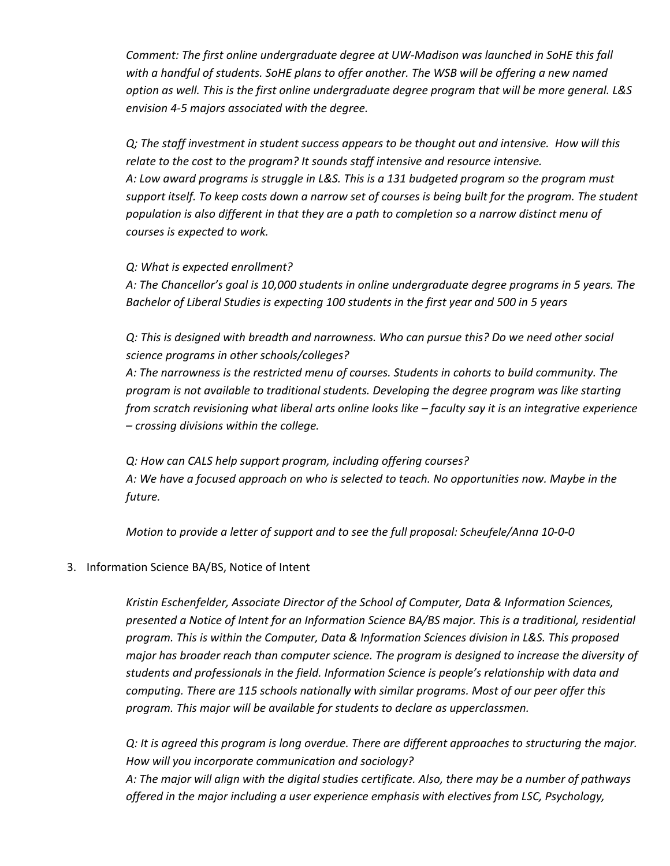*Comment: The first online undergraduate degree at UW-Madison was launched in SoHE this fall with a handful of students. SoHE plans to offer another. The WSB will be offering a new named option as well. This is the first online undergraduate degree program that will be more general. L&S envision 4-5 majors associated with the degree.* 

*Q; The staff investment in student success appears to be thought out and intensive. How will this relate to the cost to the program? It sounds staff intensive and resource intensive. A: Low award programs is struggle in L&S. This is a 131 budgeted program so the program must support itself. To keep costs down a narrow set of courses is being built for the program. The student population is also different in that they are a path to completion so a narrow distinct menu of courses is expected to work.* 

*Q: What is expected enrollment?*

*A: The Chancellor's goal is 10,000 students in online undergraduate degree programs in 5 years. The Bachelor of Liberal Studies is expecting 100 students in the first year and 500 in 5 years*

*Q: This is designed with breadth and narrowness. Who can pursue this? Do we need other social science programs in other schools/colleges?*

*A: The narrowness is the restricted menu of courses. Students in cohorts to build community. The program is not available to traditional students. Developing the degree program was like starting from scratch revisioning what liberal arts online looks like – faculty say it is an integrative experience – crossing divisions within the college.*

*Q: How can CALS help support program, including offering courses? A: We have a focused approach on who is selected to teach. No opportunities now. Maybe in the future.* 

*Motion to provide a letter of support and to see the full proposal: Scheufele/Anna 10-0-0*

#### 3. Information Science BA/BS, Notice of Intent

*Kristin Eschenfelder, Associate Director of the School of Computer, Data & Information Sciences, presented a Notice of Intent for an Information Science BA/BS major. This is a traditional, residential program. This is within the Computer, Data & Information Sciences division in L&S. This proposed major has broader reach than computer science. The program is designed to increase the diversity of students and professionals in the field. Information Science is people's relationship with data and computing. There are 115 schools nationally with similar programs. Most of our peer offer this program. This major will be available for students to declare as upperclassmen.* 

*Q: It is agreed this program is long overdue. There are different approaches to structuring the major. How will you incorporate communication and sociology? A: The major will align with the digital studies certificate. Also, there may be a number of pathways offered in the major including a user experience emphasis with electives from LSC, Psychology,*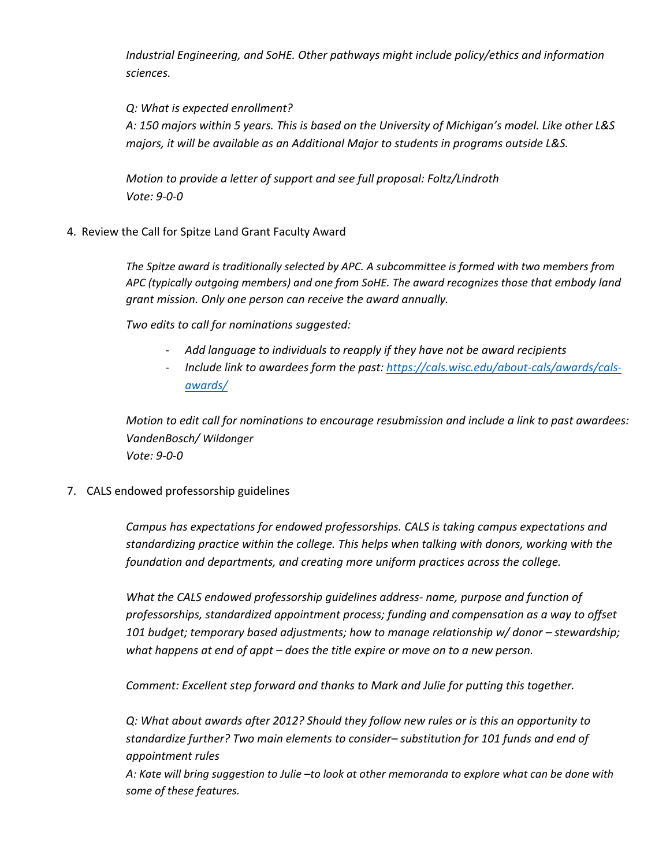*Industrial Engineering, and SoHE. Other pathways might include policy/ethics and information sciences.* 

*Q: What is expected enrollment?*

*A: 150 majors within 5 years. This is based on the University of Michigan's model. Like other L&S majors, it will be available as an Additional Major to students in programs outside L&S.*

*Motion to provide a letter of support and see full proposal: Foltz/Lindroth Vote: 9-0-0* 

4. Review the Call for Spitze Land Grant Faculty Award

*The Spitze award is traditionally selected by APC. A subcommittee is formed with two members from APC (typically outgoing members) and one from SoHE. The award recognizes those that embody land grant mission. Only one person can receive the award annually.* 

*Two edits to call for nominations suggested:* 

- *Add language to individuals to reapply if they have not be award recipients*
- *Include link to awardees form the past: [https://cals.wisc.edu/about-cals/awards/cals](https://cals.wisc.edu/about-cals/awards/cals-awards/)[awards/](https://cals.wisc.edu/about-cals/awards/cals-awards/)*

*Motion to edit call for nominations to encourage resubmission and include a link to past awardees: VandenBosch/ Wildonger Vote: 9-0-0*

7. CALS endowed professorship guidelines

*Campus has expectations for endowed professorships. CALS is taking campus expectations and standardizing practice within the college. This helps when talking with donors, working with the foundation and departments, and creating more uniform practices across the college.* 

*What the CALS endowed professorship guidelines address- name, purpose and function of professorships, standardized appointment process; funding and compensation as a way to offset 101 budget; temporary based adjustments; how to manage relationship w/ donor – stewardship; what happens at end of appt – does the title expire or move on to a new person.* 

*Comment: Excellent step forward and thanks to Mark and Julie for putting this together.*

*Q: What about awards after 2012? Should they follow new rules or is this an opportunity to standardize further? Two main elements to consider– substitution for 101 funds and end of appointment rules* 

*A: Kate will bring suggestion to Julie –to look at other memoranda to explore what can be done with some of these features.*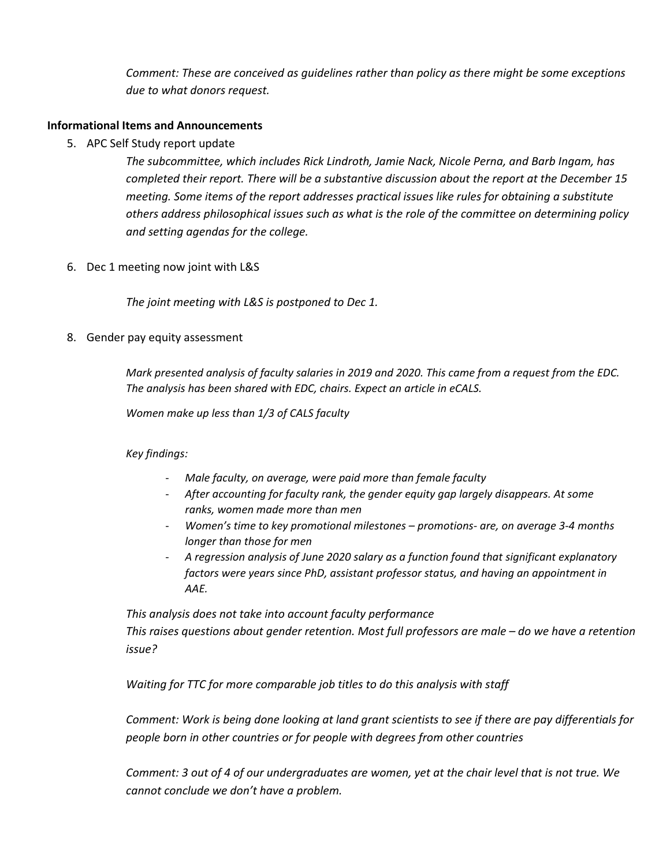*Comment: These are conceived as guidelines rather than policy as there might be some exceptions due to what donors request.* 

### **Informational Items and Announcements**

5. APC Self Study report update

*The subcommittee, which includes Rick Lindroth, Jamie Nack, Nicole Perna, and Barb Ingam, has completed their report. There will be a substantive discussion about the report at the December 15 meeting. Some items of the report addresses practical issues like rules for obtaining a substitute others address philosophical issues such as what is the role of the committee on determining policy and setting agendas for the college.* 

6. Dec 1 meeting now joint with L&S

*The joint meeting with L&S is postponed to Dec 1.* 

## 8. Gender pay equity assessment

*Mark presented analysis of faculty salaries in 2019 and 2020. This came from a request from the EDC. The analysis has been shared with EDC, chairs. Expect an article in eCALS.* 

*Women make up less than 1/3 of CALS faculty*

#### *Key findings:*

- *Male faculty, on average, were paid more than female faculty*
- *After accounting for faculty rank, the gender equity gap largely disappears. At some ranks, women made more than men*
- *Women's time to key promotional milestones – promotions- are, on average 3-4 months longer than those for men*
- *A regression analysis of June 2020 salary as a function found that significant explanatory factors were years since PhD, assistant professor status, and having an appointment in AAE.*

*This analysis does not take into account faculty performance This raises questions about gender retention. Most full professors are male – do we have a retention issue?*

*Waiting for TTC for more comparable job titles to do this analysis with staff* 

*Comment: Work is being done looking at land grant scientists to see if there are pay differentials for people born in other countries or for people with degrees from other countries*

*Comment: 3 out of 4 of our undergraduates are women, yet at the chair level that is not true. We cannot conclude we don't have a problem.*